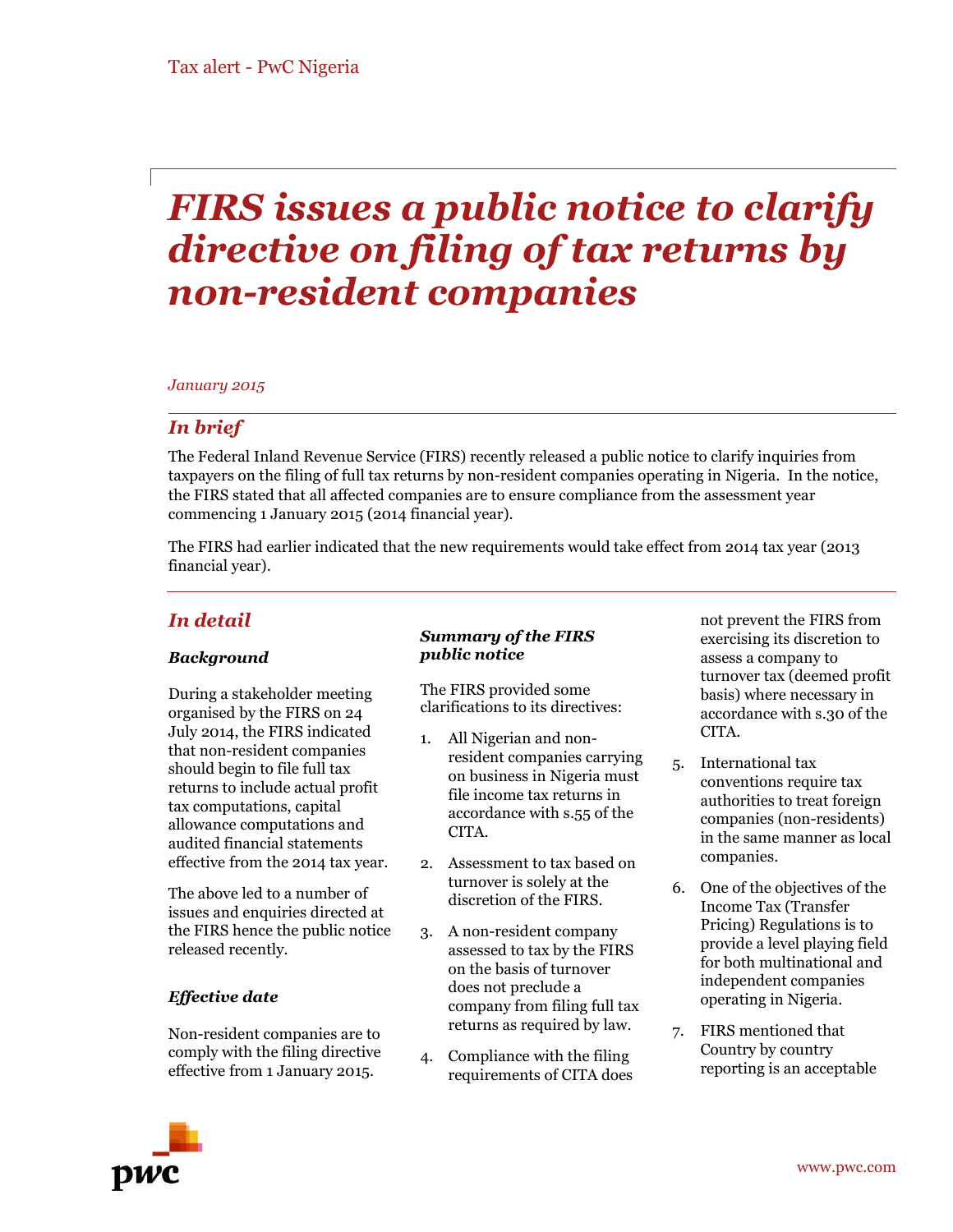# *FIRS issues a public notice to clarify directive on filing of tax returns by non-resident companies*

# *January 2015*

# *In brief*

The Federal Inland Revenue Service (FIRS) recently released a public notice to clarify inquiries from taxpayers on the filing of full tax returns by non-resident companies operating in Nigeria. In the notice, the FIRS stated that all affected companies are to ensure compliance from the assessment year commencing 1 January 2015 (2014 financial year).

The FIRS had earlier indicated that the new requirements would take effect from 2014 tax year (2013 financial year).

# *In detail*

# *Background*

During a stakeholder meeting organised by the FIRS on 24 July 2014, the FIRS indicated that non-resident companies should begin to file full tax returns to include actual profit tax computations, capital allowance computations and audited financial statements effective from the 2014 tax year.

The above led to a number of issues and enquiries directed at the FIRS hence the public notice released recently.

# *Effective date*

Non-resident companies are to comply with the filing directive effective from 1 January 2015.

#### *Summary of the FIRS public notice*

The FIRS provided some clarifications to its directives:

- 1. All Nigerian and nonresident companies carrying on business in Nigeria must file income tax returns in accordance with s.55 of the CITA.
- 2. Assessment to tax based on turnover is solely at the discretion of the FIRS.
- 3. A non-resident company assessed to tax by the FIRS on the basis of turnover does not preclude a company from filing full tax returns as required by law.
- 4. Compliance with the filing requirements of CITA does

not prevent the FIRS from exercising its discretion to assess a company to turnover tax (deemed profit basis) where necessary in accordance with s.30 of the CITA.

- 5. International tax conventions require tax authorities to treat foreign companies (non-residents) in the same manner as local companies.
- 6. One of the objectives of the Income Tax (Transfer Pricing) Regulations is to provide a level playing field for both multinational and independent companies operating in Nigeria.
- 7. FIRS mentioned that Country by country reporting is an acceptable

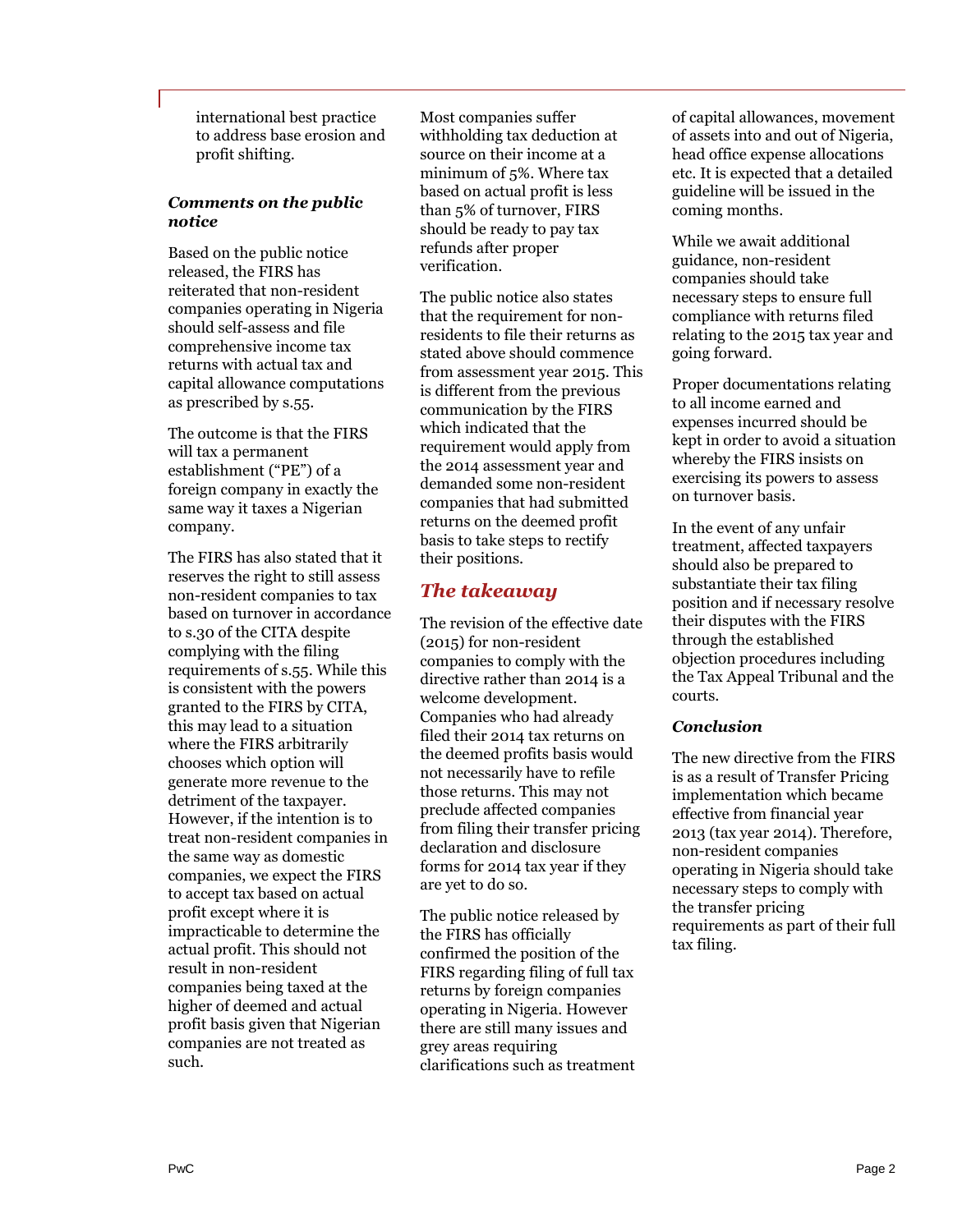international best practice to address base erosion and profit shifting.

# *Comments on the public notice*

Based on the public notice released, the FIRS has reiterated that non-resident companies operating in Nigeria should self-assess and file comprehensive income tax returns with actual tax and capital allowance computations as prescribed by s.55.

The outcome is that the FIRS will tax a permanent establishment ("PE") of a foreign company in exactly the same way it taxes a Nigerian company.

The FIRS has also stated that it reserves the right to still assess non-resident companies to tax based on turnover in accordance to s.30 of the CITA despite complying with the filing requirements of s.55. While this is consistent with the powers granted to the FIRS by CITA, this may lead to a situation where the FIRS arbitrarily chooses which option will generate more revenue to the detriment of the taxpayer. However, if the intention is to treat non-resident companies in the same way as domestic companies, we expect the FIRS to accept tax based on actual profit except where it is impracticable to determine the actual profit. This should not result in non-resident companies being taxed at the higher of deemed and actual profit basis given that Nigerian companies are not treated as such.

Most companies suffer withholding tax deduction at source on their income at a minimum of 5%. Where tax based on actual profit is less than 5% of turnover, FIRS should be ready to pay tax refunds after proper verification.

The public notice also states that the requirement for nonresidents to file their returns as stated above should commence from assessment year 2015. This is different from the previous communication by the FIRS which indicated that the requirement would apply from the 2014 assessment year and demanded some non-resident companies that had submitted returns on the deemed profit basis to take steps to rectify their positions.

# *The takeaway*

The revision of the effective date (2015) for non-resident companies to comply with the directive rather than 2014 is a welcome development. Companies who had already filed their 2014 tax returns on the deemed profits basis would not necessarily have to refile those returns. This may not preclude affected companies from filing their transfer pricing declaration and disclosure forms for 2014 tax year if they are yet to do so.

The public notice released by the FIRS has officially confirmed the position of the FIRS regarding filing of full tax returns by foreign companies operating in Nigeria. However there are still many issues and grey areas requiring clarifications such as treatment

of capital allowances, movement of assets into and out of Nigeria, head office expense allocations etc. It is expected that a detailed guideline will be issued in the coming months.

While we await additional guidance, non-resident companies should take necessary steps to ensure full compliance with returns filed relating to the 2015 tax year and going forward.

Proper documentations relating to all income earned and expenses incurred should be kept in order to avoid a situation whereby the FIRS insists on exercising its powers to assess on turnover basis.

In the event of any unfair treatment, affected taxpayers should also be prepared to substantiate their tax filing position and if necessary resolve their disputes with the FIRS through the established objection procedures including the Tax Appeal Tribunal and the courts.

# *Conclusion*

The new directive from the FIRS is as a result of Transfer Pricing implementation which became effective from financial year 2013 (tax year 2014). Therefore, non-resident companies operating in Nigeria should take necessary steps to comply with the transfer pricing requirements as part of their full tax filing.